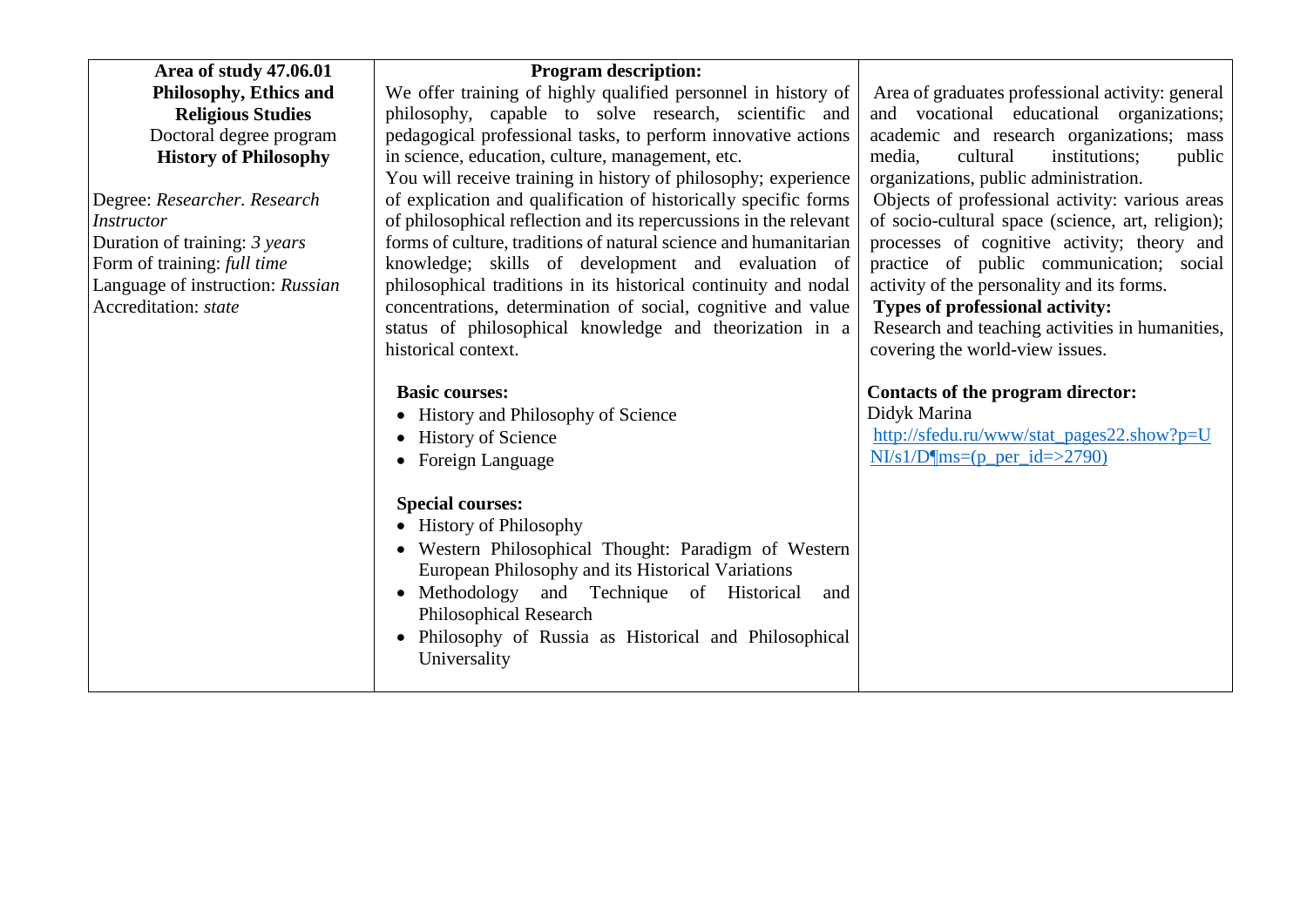| Area of study 47.06.01           | <b>Program description:</b>                                       |                                                   |
|----------------------------------|-------------------------------------------------------------------|---------------------------------------------------|
| Philosophy, Ethics and           | We offer training of highly qualified personnel in history of     | Area of graduates professional activity: general  |
| <b>Religious Studies</b>         | philosophy, capable to solve research, scientific and             | and vocational educational organizations;         |
| Doctoral degree program          | pedagogical professional tasks, to perform innovative actions     | academic and research organizations; mass         |
| <b>History of Philosophy</b>     | in science, education, culture, management, etc.                  | media,<br>cultural<br>institutions;<br>public     |
|                                  | You will receive training in history of philosophy; experience    | organizations, public administration.             |
| Degree: Researcher. Research     | of explication and qualification of historically specific forms   | Objects of professional activity: various areas   |
| <b>Instructor</b>                | of philosophical reflection and its repercussions in the relevant | of socio-cultural space (science, art, religion); |
| Duration of training: 3 years    | forms of culture, traditions of natural science and humanitarian  | processes of cognitive activity; theory and       |
| Form of training: full time      | knowledge; skills of development and evaluation of                | practice of public communication; social          |
| Language of instruction: Russian | philosophical traditions in its historical continuity and nodal   | activity of the personality and its forms.        |
| Accreditation: state             | concentrations, determination of social, cognitive and value      | Types of professional activity:                   |
|                                  | status of philosophical knowledge and theorization in a           | Research and teaching activities in humanities,   |
|                                  | historical context.                                               | covering the world-view issues.                   |
|                                  | <b>Basic courses:</b>                                             | Contacts of the program director:                 |
|                                  | • History and Philosophy of Science                               | Didyk Marina                                      |
|                                  | • History of Science                                              | http://sfedu.ru/www/stat_pages22.show?p=U         |
|                                  | • Foreign Language                                                | $N1/s1/D$ ms=(p_per_id=>2790)                     |
|                                  |                                                                   |                                                   |
|                                  | <b>Special courses:</b>                                           |                                                   |
|                                  | • History of Philosophy                                           |                                                   |
|                                  | • Western Philosophical Thought: Paradigm of Western              |                                                   |
|                                  | European Philosophy and its Historical Variations                 |                                                   |
|                                  | • Methodology and Technique of Historical<br>and                  |                                                   |
|                                  | <b>Philosophical Research</b>                                     |                                                   |
|                                  | • Philosophy of Russia as Historical and Philosophical            |                                                   |
|                                  | Universality                                                      |                                                   |
|                                  |                                                                   |                                                   |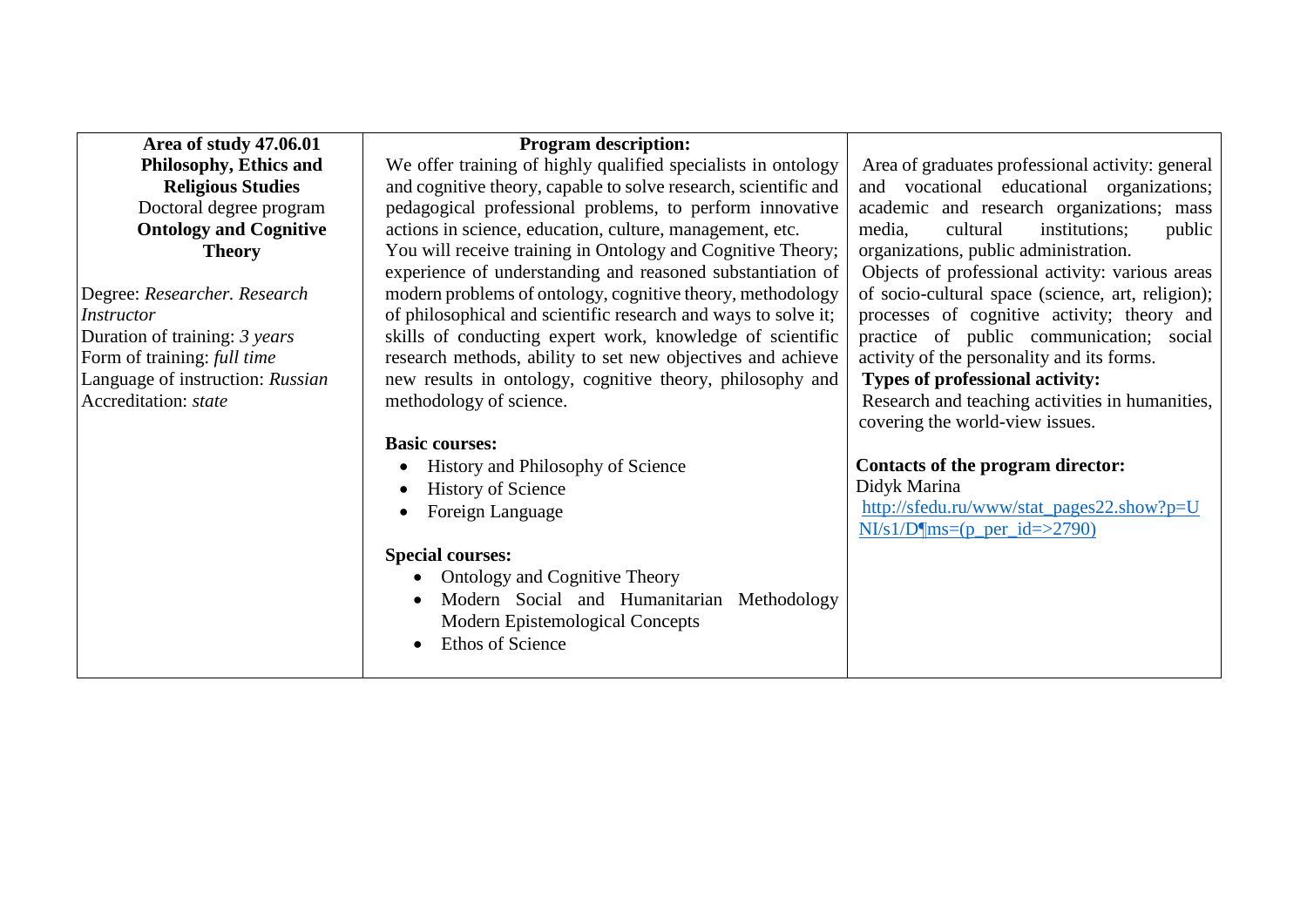| Area of study 47.06.01           | <b>Program description:</b>                                                                                               |                                                                                          |
|----------------------------------|---------------------------------------------------------------------------------------------------------------------------|------------------------------------------------------------------------------------------|
| Philosophy, Ethics and           | We offer training of highly qualified specialists in ontology                                                             | Area of graduates professional activity: general                                         |
| <b>Religious Studies</b>         | and cognitive theory, capable to solve research, scientific and                                                           | and vocational educational organizations;                                                |
| Doctoral degree program          | pedagogical professional problems, to perform innovative                                                                  | academic and research organizations; mass                                                |
| <b>Ontology and Cognitive</b>    | actions in science, education, culture, management, etc.                                                                  | media,<br>cultural<br>institutions;<br>public                                            |
| <b>Theory</b>                    | You will receive training in Ontology and Cognitive Theory;<br>experience of understanding and reasoned substantiation of | organizations, public administration.<br>Objects of professional activity: various areas |
| Degree: Researcher. Research     | modern problems of ontology, cognitive theory, methodology                                                                | of socio-cultural space (science, art, religion);                                        |
| <i>Instructor</i>                | of philosophical and scientific research and ways to solve it;                                                            | processes of cognitive activity; theory and                                              |
| Duration of training: 3 years    | skills of conducting expert work, knowledge of scientific                                                                 | practice of public communication; social                                                 |
| Form of training: full time      | research methods, ability to set new objectives and achieve                                                               | activity of the personality and its forms.                                               |
| Language of instruction: Russian | new results in ontology, cognitive theory, philosophy and                                                                 | Types of professional activity:                                                          |
| Accreditation: state             | methodology of science.                                                                                                   | Research and teaching activities in humanities,                                          |
|                                  |                                                                                                                           | covering the world-view issues.                                                          |
|                                  | <b>Basic courses:</b>                                                                                                     |                                                                                          |
|                                  | History and Philosophy of Science<br>$\bullet$                                                                            | Contacts of the program director:                                                        |
|                                  | <b>History of Science</b><br>$\bullet$                                                                                    | Didyk Marina                                                                             |
|                                  | Foreign Language<br>$\bullet$                                                                                             | http://sfedu.ru/www/stat_pages22.show?p=U                                                |
|                                  |                                                                                                                           | $NIs1/D$ ms=(p_per_id=>2790)                                                             |
|                                  | <b>Special courses:</b>                                                                                                   |                                                                                          |
|                                  | <b>Ontology and Cognitive Theory</b>                                                                                      |                                                                                          |
|                                  | Modern Social and Humanitarian Methodology                                                                                |                                                                                          |
|                                  | Modern Epistemological Concepts                                                                                           |                                                                                          |
|                                  | Ethos of Science                                                                                                          |                                                                                          |
|                                  |                                                                                                                           |                                                                                          |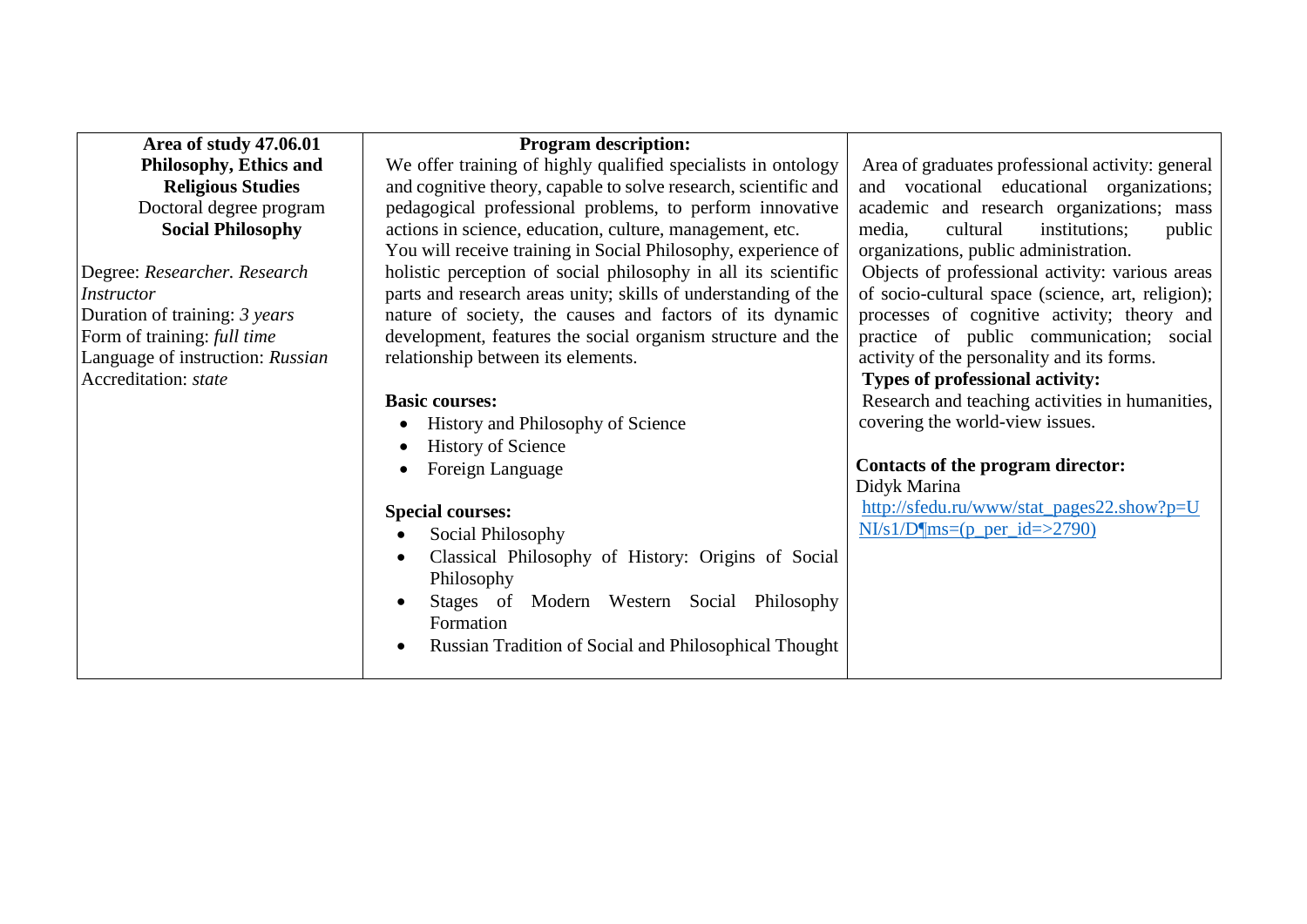| Area of study 47.06.01           | <b>Program description:</b>                                     |                                                   |
|----------------------------------|-----------------------------------------------------------------|---------------------------------------------------|
| Philosophy, Ethics and           | We offer training of highly qualified specialists in ontology   | Area of graduates professional activity: general  |
| <b>Religious Studies</b>         | and cognitive theory, capable to solve research, scientific and | and vocational educational organizations;         |
| Doctoral degree program          | pedagogical professional problems, to perform innovative        | academic and research organizations; mass         |
| <b>Social Philosophy</b>         | actions in science, education, culture, management, etc.        | media,<br>cultural<br>institutions;<br>public     |
|                                  | You will receive training in Social Philosophy, experience of   | organizations, public administration.             |
| Degree: Researcher. Research     | holistic perception of social philosophy in all its scientific  | Objects of professional activity: various areas   |
| <i>Instructor</i>                | parts and research areas unity; skills of understanding of the  | of socio-cultural space (science, art, religion); |
| Duration of training: 3 years    | nature of society, the causes and factors of its dynamic        | processes of cognitive activity; theory and       |
| Form of training: full time      | development, features the social organism structure and the     | practice of public communication; social          |
| Language of instruction: Russian | relationship between its elements.                              | activity of the personality and its forms.        |
| Accreditation: state             |                                                                 | Types of professional activity:                   |
|                                  | <b>Basic courses:</b>                                           | Research and teaching activities in humanities,   |
|                                  | History and Philosophy of Science<br>$\bullet$                  | covering the world-view issues.                   |
|                                  | <b>History of Science</b><br>$\bullet$                          |                                                   |
|                                  | Foreign Language                                                | Contacts of the program director:                 |
|                                  |                                                                 | Didyk Marina                                      |
|                                  | <b>Special courses:</b>                                         | http://sfedu.ru/www/stat_pages22.show?p=U         |
|                                  | Social Philosophy<br>$\bullet$                                  | $N/s1/D$ ms=(p_per_id=>2790)                      |
|                                  | Classical Philosophy of History: Origins of Social<br>$\bullet$ |                                                   |
|                                  | Philosophy                                                      |                                                   |
|                                  | Stages of Modern Western Social Philosophy                      |                                                   |
|                                  | Formation                                                       |                                                   |
|                                  | Russian Tradition of Social and Philosophical Thought           |                                                   |
|                                  |                                                                 |                                                   |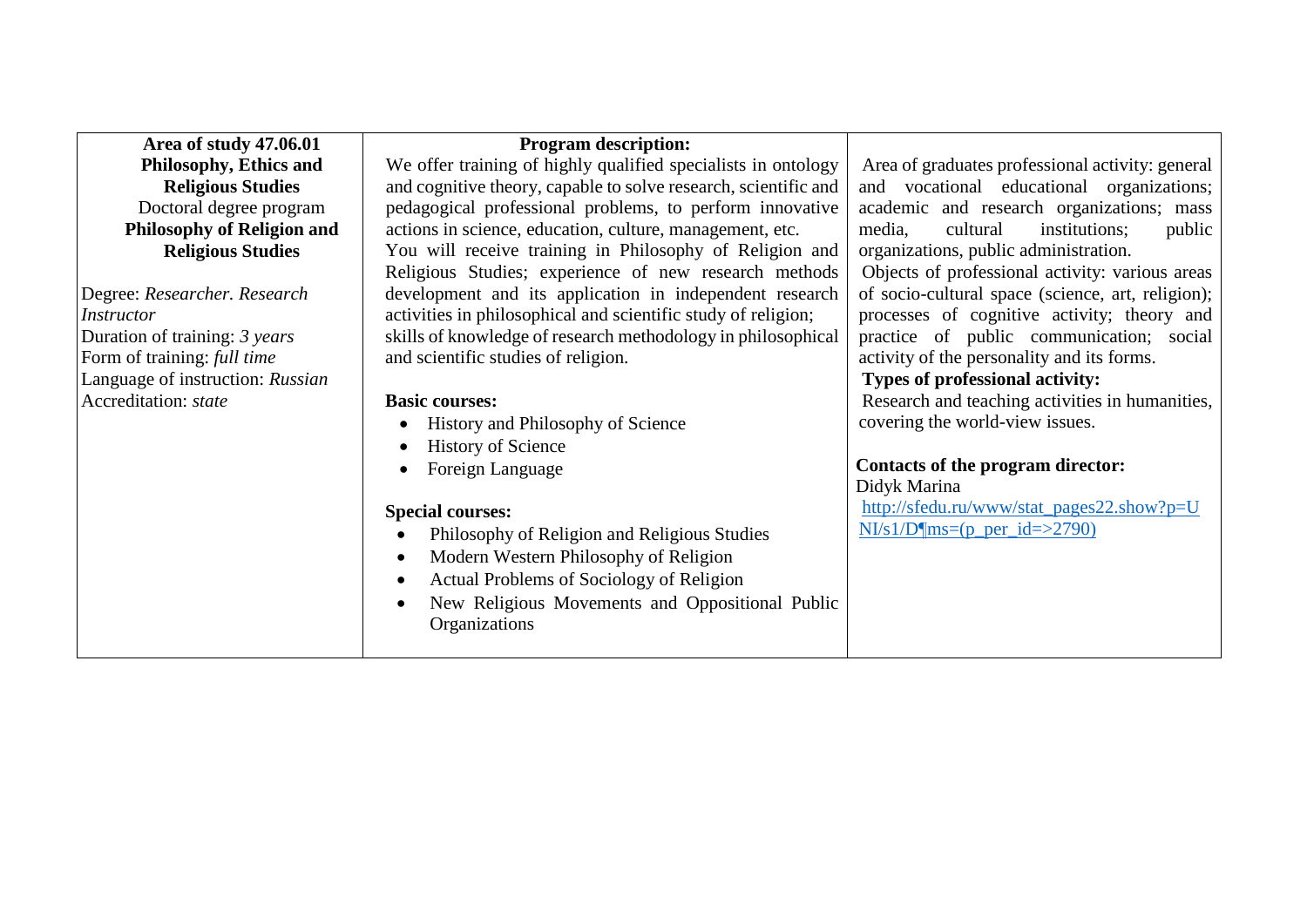| Area of study 47.06.01            | <b>Program description:</b>                                     |                                                   |
|-----------------------------------|-----------------------------------------------------------------|---------------------------------------------------|
| Philosophy, Ethics and            | We offer training of highly qualified specialists in ontology   | Area of graduates professional activity: general  |
| <b>Religious Studies</b>          | and cognitive theory, capable to solve research, scientific and | and vocational educational organizations;         |
| Doctoral degree program           | pedagogical professional problems, to perform innovative        | academic and research organizations; mass         |
| <b>Philosophy of Religion and</b> | actions in science, education, culture, management, etc.        | media,<br>cultural<br>institutions;<br>public     |
| <b>Religious Studies</b>          | You will receive training in Philosophy of Religion and         | organizations, public administration.             |
|                                   | Religious Studies; experience of new research methods           | Objects of professional activity: various areas   |
| Degree: Researcher. Research      | development and its application in independent research         | of socio-cultural space (science, art, religion); |
| Instructor                        | activities in philosophical and scientific study of religion;   | processes of cognitive activity; theory and       |
| Duration of training: 3 years     | skills of knowledge of research methodology in philosophical    | practice of public communication; social          |
| Form of training: full time       | and scientific studies of religion.                             | activity of the personality and its forms.        |
| Language of instruction: Russian  |                                                                 | Types of professional activity:                   |
| Accreditation: state              | <b>Basic courses:</b>                                           | Research and teaching activities in humanities,   |
|                                   | History and Philosophy of Science<br>$\bullet$                  | covering the world-view issues.                   |
|                                   | <b>History of Science</b><br>$\bullet$                          |                                                   |
|                                   | Foreign Language<br>$\bullet$                                   | Contacts of the program director:                 |
|                                   |                                                                 | Didyk Marina                                      |
|                                   | <b>Special courses:</b>                                         | http://sfedu.ru/www/stat_pages22.show?p=U         |
|                                   | Philosophy of Religion and Religious Studies                    | $N1/s1/D$ ms=(p per id=>2790)                     |
|                                   | Modern Western Philosophy of Religion<br>$\bullet$              |                                                   |
|                                   | Actual Problems of Sociology of Religion<br>$\bullet$           |                                                   |
|                                   | New Religious Movements and Oppositional Public                 |                                                   |
|                                   | Organizations                                                   |                                                   |
|                                   |                                                                 |                                                   |